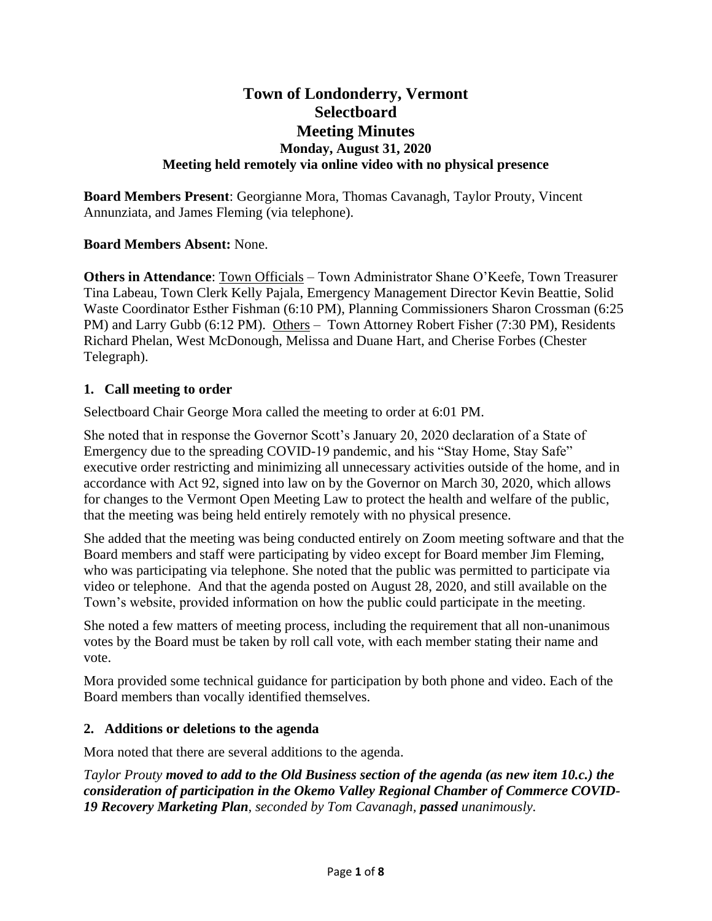# **Town of Londonderry, Vermont Selectboard Meeting Minutes Monday, August 31, 2020 Meeting held remotely via online video with no physical presence**

**Board Members Present**: Georgianne Mora, Thomas Cavanagh, Taylor Prouty, Vincent Annunziata, and James Fleming (via telephone).

**Board Members Absent:** None.

**Others in Attendance**: Town Officials – Town Administrator Shane O'Keefe, Town Treasurer Tina Labeau, Town Clerk Kelly Pajala, Emergency Management Director Kevin Beattie, Solid Waste Coordinator Esther Fishman (6:10 PM), Planning Commissioners Sharon Crossman (6:25 PM) and Larry Gubb (6:12 PM). Others - Town Attorney Robert Fisher (7:30 PM), Residents Richard Phelan, West McDonough, Melissa and Duane Hart, and Cherise Forbes (Chester Telegraph).

#### **1. Call meeting to order**

Selectboard Chair George Mora called the meeting to order at 6:01 PM.

She noted that in response the Governor Scott's January 20, 2020 declaration of a State of Emergency due to the spreading COVID-19 pandemic, and his "Stay Home, Stay Safe" executive order restricting and minimizing all unnecessary activities outside of the home, and in accordance with Act 92, signed into law on by the Governor on March 30, 2020, which allows for changes to the Vermont Open Meeting Law to protect the health and welfare of the public, that the meeting was being held entirely remotely with no physical presence.

She added that the meeting was being conducted entirely on Zoom meeting software and that the Board members and staff were participating by video except for Board member Jim Fleming, who was participating via telephone. She noted that the public was permitted to participate via video or telephone. And that the agenda posted on August 28, 2020, and still available on the Town's website, provided information on how the public could participate in the meeting.

She noted a few matters of meeting process, including the requirement that all non-unanimous votes by the Board must be taken by roll call vote, with each member stating their name and vote.

Mora provided some technical guidance for participation by both phone and video. Each of the Board members than vocally identified themselves.

#### **2. Additions or deletions to the agenda**

Mora noted that there are several additions to the agenda.

*Taylor Prouty moved to add to the Old Business section of the agenda (as new item 10.c.) the consideration of participation in the Okemo Valley Regional Chamber of Commerce COVID-19 Recovery Marketing Plan, seconded by Tom Cavanagh, passed unanimously.*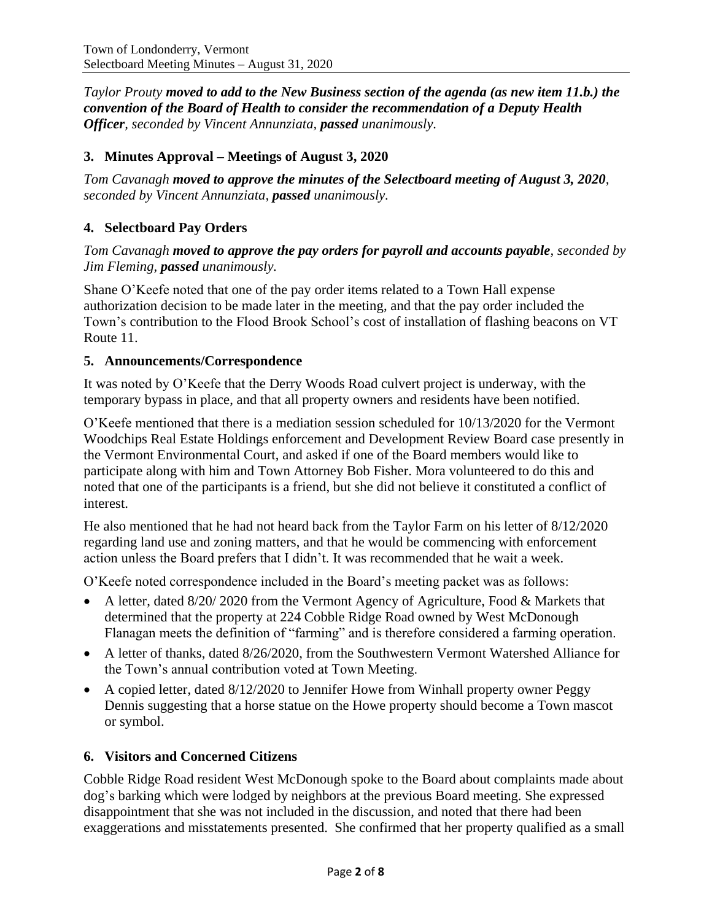*Taylor Prouty moved to add to the New Business section of the agenda (as new item 11.b.) the convention of the Board of Health to consider the recommendation of a Deputy Health Officer, seconded by Vincent Annunziata, passed unanimously.*

# **3. Minutes Approval – Meetings of August 3, 2020**

*Tom Cavanagh moved to approve the minutes of the Selectboard meeting of August 3, 2020, seconded by Vincent Annunziata, passed unanimously.*

# **4. Selectboard Pay Orders**

#### *Tom Cavanagh moved to approve the pay orders for payroll and accounts payable, seconded by Jim Fleming, passed unanimously.*

Shane O'Keefe noted that one of the pay order items related to a Town Hall expense authorization decision to be made later in the meeting, and that the pay order included the Town's contribution to the Flood Brook School's cost of installation of flashing beacons on VT Route 11.

#### **5. Announcements/Correspondence**

It was noted by O'Keefe that the Derry Woods Road culvert project is underway, with the temporary bypass in place, and that all property owners and residents have been notified.

O'Keefe mentioned that there is a mediation session scheduled for 10/13/2020 for the Vermont Woodchips Real Estate Holdings enforcement and Development Review Board case presently in the Vermont Environmental Court, and asked if one of the Board members would like to participate along with him and Town Attorney Bob Fisher. Mora volunteered to do this and noted that one of the participants is a friend, but she did not believe it constituted a conflict of interest.

He also mentioned that he had not heard back from the Taylor Farm on his letter of 8/12/2020 regarding land use and zoning matters, and that he would be commencing with enforcement action unless the Board prefers that I didn't. It was recommended that he wait a week.

O'Keefe noted correspondence included in the Board's meeting packet was as follows:

- A letter, dated 8/20/ 2020 from the Vermont Agency of Agriculture, Food & Markets that determined that the property at 224 Cobble Ridge Road owned by West McDonough Flanagan meets the definition of "farming" and is therefore considered a farming operation.
- A letter of thanks, dated 8/26/2020, from the Southwestern Vermont Watershed Alliance for the Town's annual contribution voted at Town Meeting.
- A copied letter, dated 8/12/2020 to Jennifer Howe from Winhall property owner Peggy Dennis suggesting that a horse statue on the Howe property should become a Town mascot or symbol.

# **6. Visitors and Concerned Citizens**

Cobble Ridge Road resident West McDonough spoke to the Board about complaints made about dog's barking which were lodged by neighbors at the previous Board meeting. She expressed disappointment that she was not included in the discussion, and noted that there had been exaggerations and misstatements presented. She confirmed that her property qualified as a small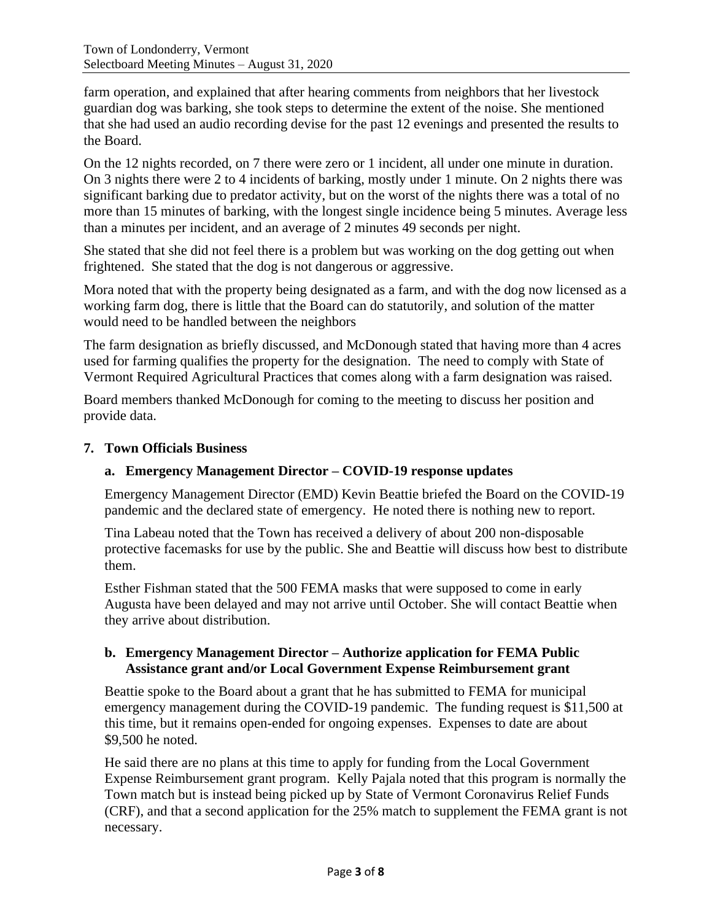farm operation, and explained that after hearing comments from neighbors that her livestock guardian dog was barking, she took steps to determine the extent of the noise. She mentioned that she had used an audio recording devise for the past 12 evenings and presented the results to the Board.

On the 12 nights recorded, on 7 there were zero or 1 incident, all under one minute in duration. On 3 nights there were 2 to 4 incidents of barking, mostly under 1 minute. On 2 nights there was significant barking due to predator activity, but on the worst of the nights there was a total of no more than 15 minutes of barking, with the longest single incidence being 5 minutes. Average less than a minutes per incident, and an average of 2 minutes 49 seconds per night.

She stated that she did not feel there is a problem but was working on the dog getting out when frightened. She stated that the dog is not dangerous or aggressive.

Mora noted that with the property being designated as a farm, and with the dog now licensed as a working farm dog, there is little that the Board can do statutorily, and solution of the matter would need to be handled between the neighbors

The farm designation as briefly discussed, and McDonough stated that having more than 4 acres used for farming qualifies the property for the designation. The need to comply with State of Vermont Required Agricultural Practices that comes along with a farm designation was raised.

Board members thanked McDonough for coming to the meeting to discuss her position and provide data.

# **7. Town Officials Business**

# **a. Emergency Management Director – COVID-19 response updates**

Emergency Management Director (EMD) Kevin Beattie briefed the Board on the COVID-19 pandemic and the declared state of emergency. He noted there is nothing new to report.

Tina Labeau noted that the Town has received a delivery of about 200 non-disposable protective facemasks for use by the public. She and Beattie will discuss how best to distribute them.

Esther Fishman stated that the 500 FEMA masks that were supposed to come in early Augusta have been delayed and may not arrive until October. She will contact Beattie when they arrive about distribution.

#### **b. Emergency Management Director – Authorize application for FEMA Public Assistance grant and/or Local Government Expense Reimbursement grant**

Beattie spoke to the Board about a grant that he has submitted to FEMA for municipal emergency management during the COVID-19 pandemic. The funding request is \$11,500 at this time, but it remains open-ended for ongoing expenses. Expenses to date are about \$9,500 he noted.

He said there are no plans at this time to apply for funding from the Local Government Expense Reimbursement grant program. Kelly Pajala noted that this program is normally the Town match but is instead being picked up by State of Vermont Coronavirus Relief Funds (CRF), and that a second application for the 25% match to supplement the FEMA grant is not necessary.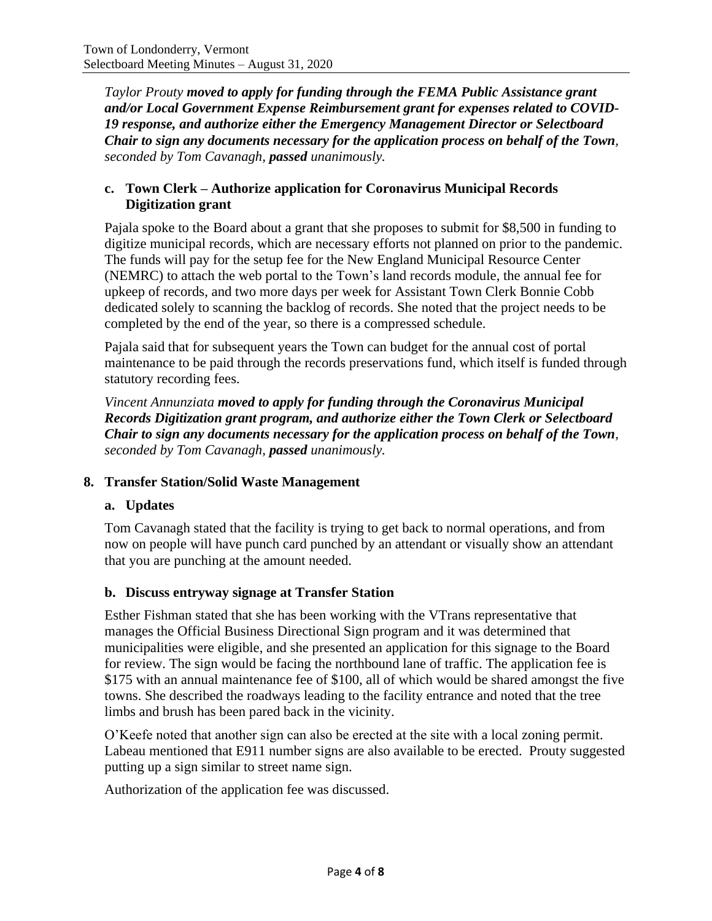*Taylor Prouty moved to apply for funding through the FEMA Public Assistance grant and/or Local Government Expense Reimbursement grant for expenses related to COVID-19 response, and authorize either the Emergency Management Director or Selectboard Chair to sign any documents necessary for the application process on behalf of the Town, seconded by Tom Cavanagh, passed unanimously.*

# **c. Town Clerk – Authorize application for Coronavirus Municipal Records Digitization grant**

Pajala spoke to the Board about a grant that she proposes to submit for \$8,500 in funding to digitize municipal records, which are necessary efforts not planned on prior to the pandemic. The funds will pay for the setup fee for the New England Municipal Resource Center (NEMRC) to attach the web portal to the Town's land records module, the annual fee for upkeep of records, and two more days per week for Assistant Town Clerk Bonnie Cobb dedicated solely to scanning the backlog of records. She noted that the project needs to be completed by the end of the year, so there is a compressed schedule.

Pajala said that for subsequent years the Town can budget for the annual cost of portal maintenance to be paid through the records preservations fund, which itself is funded through statutory recording fees.

*Vincent Annunziata moved to apply for funding through the Coronavirus Municipal Records Digitization grant program, and authorize either the Town Clerk or Selectboard Chair to sign any documents necessary for the application process on behalf of the Town, seconded by Tom Cavanagh, passed unanimously.*

# **8. Transfer Station/Solid Waste Management**

# **a. Updates**

Tom Cavanagh stated that the facility is trying to get back to normal operations, and from now on people will have punch card punched by an attendant or visually show an attendant that you are punching at the amount needed.

# **b. Discuss entryway signage at Transfer Station**

Esther Fishman stated that she has been working with the VTrans representative that manages the Official Business Directional Sign program and it was determined that municipalities were eligible, and she presented an application for this signage to the Board for review. The sign would be facing the northbound lane of traffic. The application fee is \$175 with an annual maintenance fee of \$100, all of which would be shared amongst the five towns. She described the roadways leading to the facility entrance and noted that the tree limbs and brush has been pared back in the vicinity.

O'Keefe noted that another sign can also be erected at the site with a local zoning permit. Labeau mentioned that E911 number signs are also available to be erected. Prouty suggested putting up a sign similar to street name sign.

Authorization of the application fee was discussed.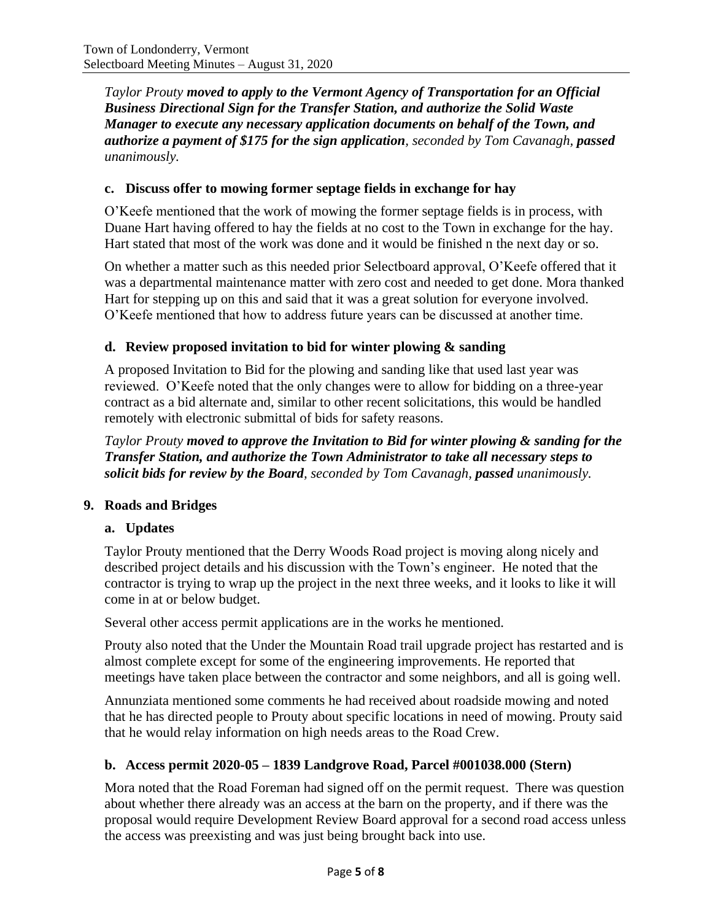*Taylor Prouty moved to apply to the Vermont Agency of Transportation for an Official Business Directional Sign for the Transfer Station, and authorize the Solid Waste Manager to execute any necessary application documents on behalf of the Town, and authorize a payment of \$175 for the sign application, seconded by Tom Cavanagh, passed unanimously.*

### **c. Discuss offer to mowing former septage fields in exchange for hay**

O'Keefe mentioned that the work of mowing the former septage fields is in process, with Duane Hart having offered to hay the fields at no cost to the Town in exchange for the hay. Hart stated that most of the work was done and it would be finished n the next day or so.

On whether a matter such as this needed prior Selectboard approval, O'Keefe offered that it was a departmental maintenance matter with zero cost and needed to get done. Mora thanked Hart for stepping up on this and said that it was a great solution for everyone involved. O'Keefe mentioned that how to address future years can be discussed at another time.

#### **d. Review proposed invitation to bid for winter plowing & sanding**

A proposed Invitation to Bid for the plowing and sanding like that used last year was reviewed. O'Keefe noted that the only changes were to allow for bidding on a three-year contract as a bid alternate and, similar to other recent solicitations, this would be handled remotely with electronic submittal of bids for safety reasons.

*Taylor Prouty moved to approve the Invitation to Bid for winter plowing & sanding for the Transfer Station, and authorize the Town Administrator to take all necessary steps to solicit bids for review by the Board, seconded by Tom Cavanagh, passed unanimously.*

#### **9. Roads and Bridges**

# **a. Updates**

Taylor Prouty mentioned that the Derry Woods Road project is moving along nicely and described project details and his discussion with the Town's engineer. He noted that the contractor is trying to wrap up the project in the next three weeks, and it looks to like it will come in at or below budget.

Several other access permit applications are in the works he mentioned.

Prouty also noted that the Under the Mountain Road trail upgrade project has restarted and is almost complete except for some of the engineering improvements. He reported that meetings have taken place between the contractor and some neighbors, and all is going well.

Annunziata mentioned some comments he had received about roadside mowing and noted that he has directed people to Prouty about specific locations in need of mowing. Prouty said that he would relay information on high needs areas to the Road Crew.

# **b. Access permit 2020-05 – 1839 Landgrove Road, Parcel #001038.000 (Stern)**

Mora noted that the Road Foreman had signed off on the permit request. There was question about whether there already was an access at the barn on the property, and if there was the proposal would require Development Review Board approval for a second road access unless the access was preexisting and was just being brought back into use.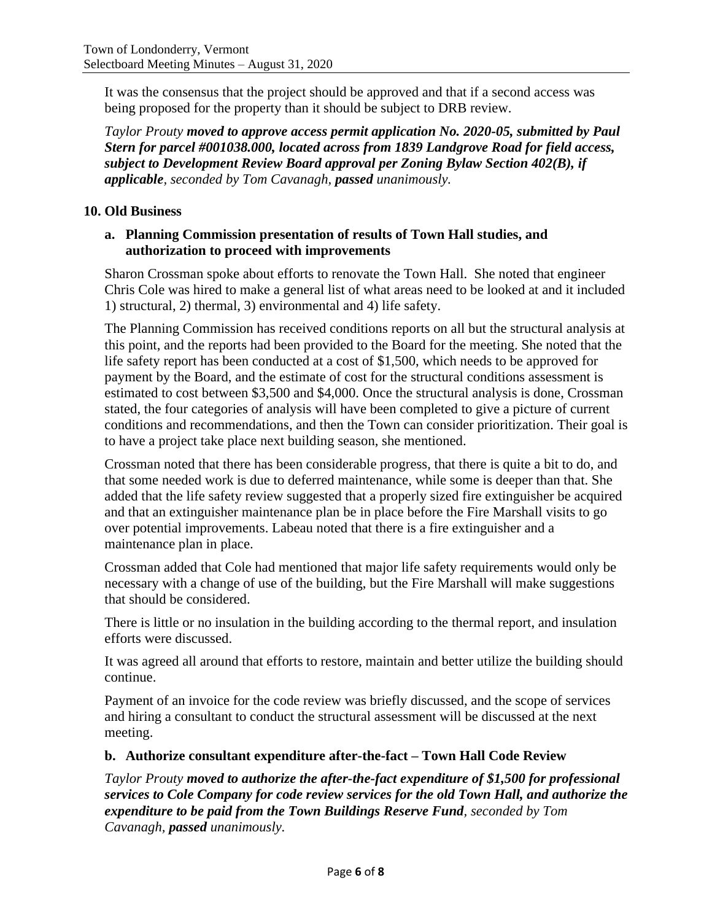It was the consensus that the project should be approved and that if a second access was being proposed for the property than it should be subject to DRB review.

*Taylor Prouty moved to approve access permit application No. 2020-05, submitted by Paul Stern for parcel #001038.000, located across from 1839 Landgrove Road for field access, subject to Development Review Board approval per Zoning Bylaw Section 402(B), if applicable, seconded by Tom Cavanagh, passed unanimously.*

# **10. Old Business**

### **a. Planning Commission presentation of results of Town Hall studies, and authorization to proceed with improvements**

Sharon Crossman spoke about efforts to renovate the Town Hall. She noted that engineer Chris Cole was hired to make a general list of what areas need to be looked at and it included 1) structural, 2) thermal, 3) environmental and 4) life safety.

The Planning Commission has received conditions reports on all but the structural analysis at this point, and the reports had been provided to the Board for the meeting. She noted that the life safety report has been conducted at a cost of \$1,500, which needs to be approved for payment by the Board, and the estimate of cost for the structural conditions assessment is estimated to cost between \$3,500 and \$4,000. Once the structural analysis is done, Crossman stated, the four categories of analysis will have been completed to give a picture of current conditions and recommendations, and then the Town can consider prioritization. Their goal is to have a project take place next building season, she mentioned.

Crossman noted that there has been considerable progress, that there is quite a bit to do, and that some needed work is due to deferred maintenance, while some is deeper than that. She added that the life safety review suggested that a properly sized fire extinguisher be acquired and that an extinguisher maintenance plan be in place before the Fire Marshall visits to go over potential improvements. Labeau noted that there is a fire extinguisher and a maintenance plan in place.

Crossman added that Cole had mentioned that major life safety requirements would only be necessary with a change of use of the building, but the Fire Marshall will make suggestions that should be considered.

There is little or no insulation in the building according to the thermal report, and insulation efforts were discussed.

It was agreed all around that efforts to restore, maintain and better utilize the building should continue.

Payment of an invoice for the code review was briefly discussed, and the scope of services and hiring a consultant to conduct the structural assessment will be discussed at the next meeting.

# **b. Authorize consultant expenditure after-the-fact – Town Hall Code Review**

*Taylor Prouty moved to authorize the after-the-fact expenditure of \$1,500 for professional services to Cole Company for code review services for the old Town Hall, and authorize the expenditure to be paid from the Town Buildings Reserve Fund, seconded by Tom Cavanagh, passed unanimously.*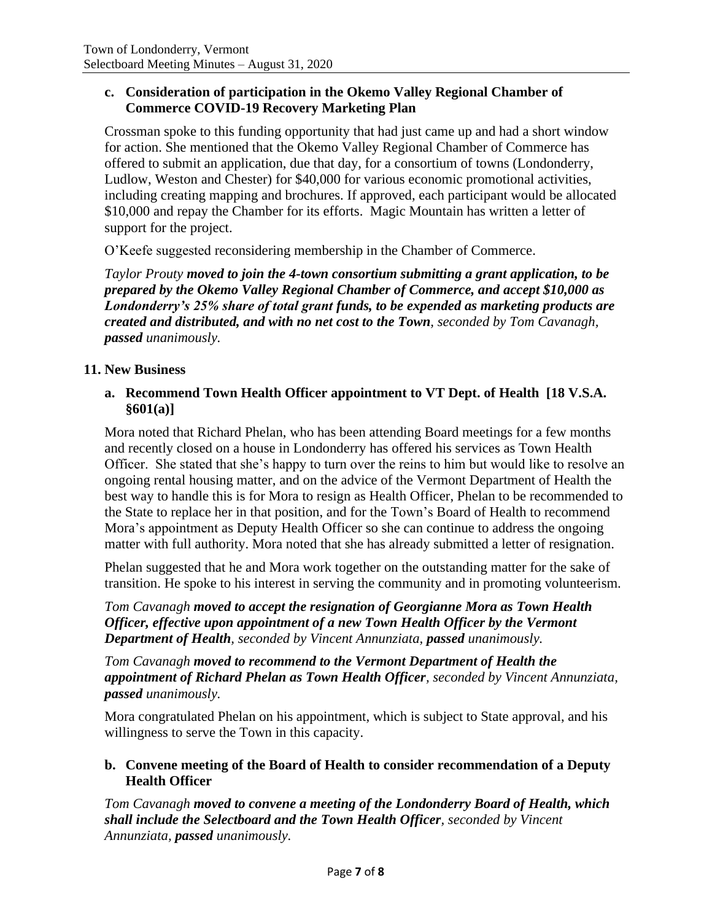#### **c. Consideration of participation in the Okemo Valley Regional Chamber of Commerce COVID-19 Recovery Marketing Plan**

Crossman spoke to this funding opportunity that had just came up and had a short window for action. She mentioned that the Okemo Valley Regional Chamber of Commerce has offered to submit an application, due that day, for a consortium of towns (Londonderry, Ludlow, Weston and Chester) for \$40,000 for various economic promotional activities, including creating mapping and brochures. If approved, each participant would be allocated \$10,000 and repay the Chamber for its efforts. Magic Mountain has written a letter of support for the project.

O'Keefe suggested reconsidering membership in the Chamber of Commerce.

*Taylor Prouty moved to join the 4-town consortium submitting a grant application, to be prepared by the Okemo Valley Regional Chamber of Commerce, and accept \$10,000 as Londonderry's 25% share of total grant funds, to be expended as marketing products are created and distributed, and with no net cost to the Town, seconded by Tom Cavanagh, passed unanimously.*

#### **11. New Business**

#### **a. Recommend Town Health Officer appointment to VT Dept. of Health [18 V.S.A. §601(a)]**

Mora noted that Richard Phelan, who has been attending Board meetings for a few months and recently closed on a house in Londonderry has offered his services as Town Health Officer. She stated that she's happy to turn over the reins to him but would like to resolve an ongoing rental housing matter, and on the advice of the Vermont Department of Health the best way to handle this is for Mora to resign as Health Officer, Phelan to be recommended to the State to replace her in that position, and for the Town's Board of Health to recommend Mora's appointment as Deputy Health Officer so she can continue to address the ongoing matter with full authority. Mora noted that she has already submitted a letter of resignation.

Phelan suggested that he and Mora work together on the outstanding matter for the sake of transition. He spoke to his interest in serving the community and in promoting volunteerism.

*Tom Cavanagh moved to accept the resignation of Georgianne Mora as Town Health Officer, effective upon appointment of a new Town Health Officer by the Vermont Department of Health, seconded by Vincent Annunziata, passed unanimously.*

*Tom Cavanagh moved to recommend to the Vermont Department of Health the appointment of Richard Phelan as Town Health Officer, seconded by Vincent Annunziata, passed unanimously.*

Mora congratulated Phelan on his appointment, which is subject to State approval, and his willingness to serve the Town in this capacity.

#### **b. Convene meeting of the Board of Health to consider recommendation of a Deputy Health Officer**

*Tom Cavanagh moved to convene a meeting of the Londonderry Board of Health, which shall include the Selectboard and the Town Health Officer, seconded by Vincent Annunziata, passed unanimously.*